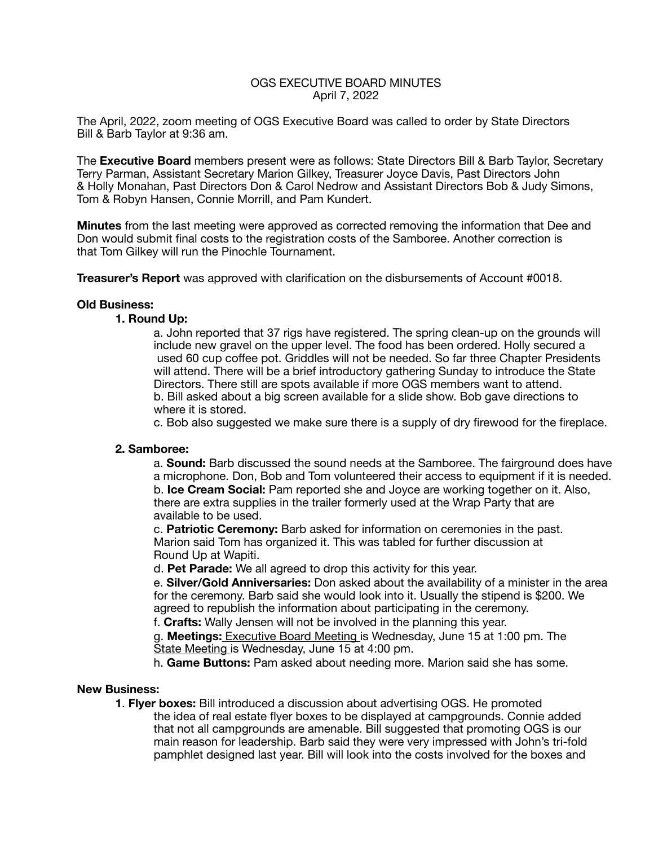# OGS EXECUTIVE BOARD MINUTES April 7, 2022

The April, 2022, zoom meeting of OGS Executive Board was called to order by State Directors Bill & Barb Taylor at 9:36 am.

The **Executive Board** members present were as follows: State Directors Bill & Barb Taylor, Secretary Terry Parman, Assistant Secretary Marion Gilkey, Treasurer Joyce Davis, Past Directors John & Holly Monahan, Past Directors Don & Carol Nedrow and Assistant Directors Bob & Judy Simons, Tom & Robyn Hansen, Connie Morrill, and Pam Kundert.

**Minutes** from the last meeting were approved as corrected removing the information that Dee and Don would submit final costs to the registration costs of the Samboree. Another correction is that Tom Gilkey will run the Pinochle Tournament.

**Treasurer's Report** was approved with clarification on the disbursements of Account #0018.

### **Old Business:**

### **1. Round Up:**

a. John reported that 37 rigs have registered. The spring clean-up on the grounds will include new gravel on the upper level. The food has been ordered. Holly secured a used 60 cup coffee pot. Griddles will not be needed. So far three Chapter Presidents will attend. There will be a brief introductory gathering Sunday to introduce the State Directors. There still are spots available if more OGS members want to attend. b. Bill asked about a big screen available for a slide show. Bob gave directions to where it is stored.

 c. Bob also suggested we make sure there is a supply of dry firewood for the fireplace.

## **2. Samboree:**

a. **Sound:** Barb discussed the sound needs at the Samboree. The fairground does have a microphone. Don, Bob and Tom volunteered their access to equipment if it is needed. b. **Ice Cream Social:** Pam reported she and Joyce are working together on it. Also, there are extra supplies in the trailer formerly used at the Wrap Party that are available to be used.

 c. **Patriotic Ceremony:** Barb asked for information on ceremonies in the past. Marion said Tom has organized it. This was tabled for further discussion at Round Up at Wapiti.

 d. **Pet Parade:** We all agreed to drop this activity for this year.

 e. **Silver/Gold Anniversaries:** Don asked about the availability of a minister in the area for the ceremony. Barb said she would look into it. Usually the stipend is \$200. We agreed to republish the information about participating in the ceremony.

 f. **Crafts:** Wally Jensen will not be involved in the planning this year.

 g. **Meetings:** Executive Board Meeting is Wednesday, June 15 at 1:00 pm. The State Meeting is Wednesday, June 15 at 4:00 pm.

 h. **Game Buttons:** Pam asked about needing more. Marion said she has some.

#### **New Business:**

**1**. **Flyer boxes:** Bill introduced a discussion about advertising OGS. He promoted the idea of real estate flyer boxes to be displayed at campgrounds. Connie added that not all campgrounds are amenable. Bill suggested that promoting OGS is our main reason for leadership. Barb said they were very impressed with John's tri-fold pamphlet designed last year. Bill will look into the costs involved for the boxes and